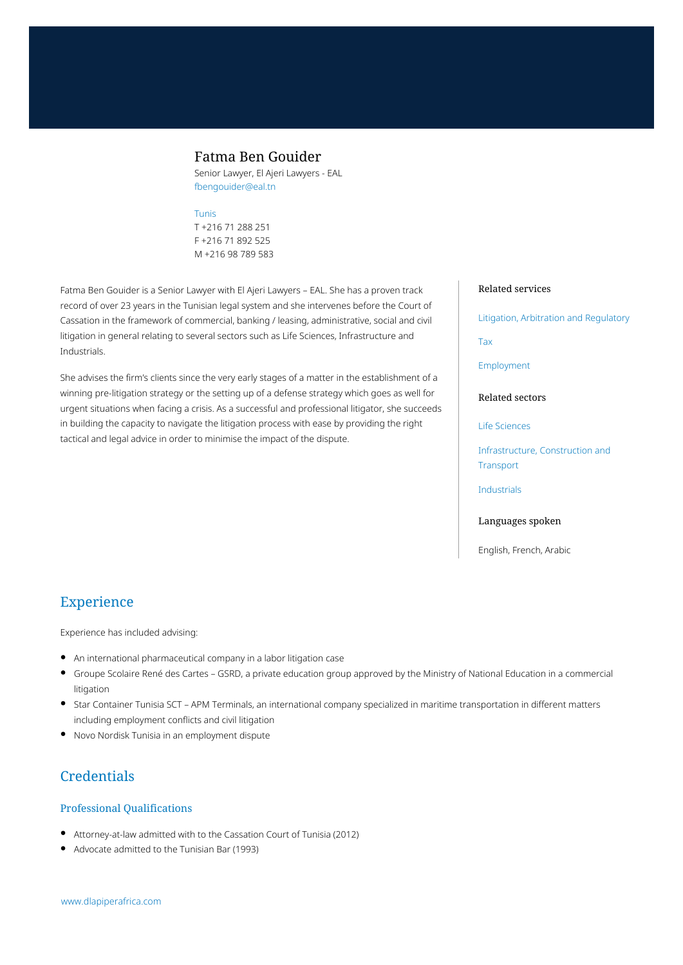# Fatma Ben Gouider

Senior Lawyer, El Ajeri Lawyers - EAL fbengouider@eal.tn

### [Tunis](https://www.dlapiperafrica.com/tunisia/locations/tunis.html)

T +216 71 288 251 F +216 71 892 525 M +216 98 789 583

Fatma Ben Gouider is a Senior Lawyer with El Ajeri Lawyers – EAL. She has a proven track record of over 23 years in the Tunisian legal system and she intervenes before the Court of Cassation in the framework of commercial, banking / leasing, administrative, social and civil litigation in general relating to several sectors such as Life Sciences, Infrastructure and Industrials.

She advises the firm's clients since the very early stages of a matter in the establishment of a winning pre-litigation strategy or the setting up of a defense strategy which goes as well for urgent situations when facing a crisis. As a successful and professional litigator, she succeeds in building the capacity to navigate the litigation process with ease by providing the right tactical and legal advice in order to minimise the impact of the dispute.

#### Related services

[Litigation, Arbitration and Regulatory](https://www.dlapiperafrica.com/en/tunisia/services/litigation-and-regulatory.html)

[Tax](https://www.dlapiperafrica.com/en/tunisia/services/tax.html)

[Employment](https://www.dlapiperafrica.com/en/tunisia/services/employment.html)

### Related sectors

[Life Sciences](https://www.dlapiperafrica.com/en/tunisia/sectors/life-sciences.html)

[Infrastructure, Construction and](https://www.dlapiperafrica.com/en/tunisia/sectors/infrastructure-construction-transport.html) **[Transport](https://www.dlapiperafrica.com/en/tunisia/sectors/infrastructure-construction-transport.html)** 

[Industrials](https://www.dlapiperafrica.com/en/tunisia/sectors/industrials.html)

### Languages spoken

English, French, Arabic

# Experience

Experience has included advising:

- An international pharmaceutical company in a labor litigation case
- Groupe Scolaire René des Cartes GSRD, a private education group approved by the Ministry of National Education in a commercial litigation
- Star Container Tunisia SCT APM Terminals, an international company specialized in maritime transportation in different matters including employment conflicts and civil litigation
- Novo Nordisk Tunisia in an employment dispute

# **Credentials**

## Professional Qualifications

- Attorney-at-law admitted with to the Cassation Court of Tunisia (2012)
- Advocate admitted to the Tunisian Bar (1993)